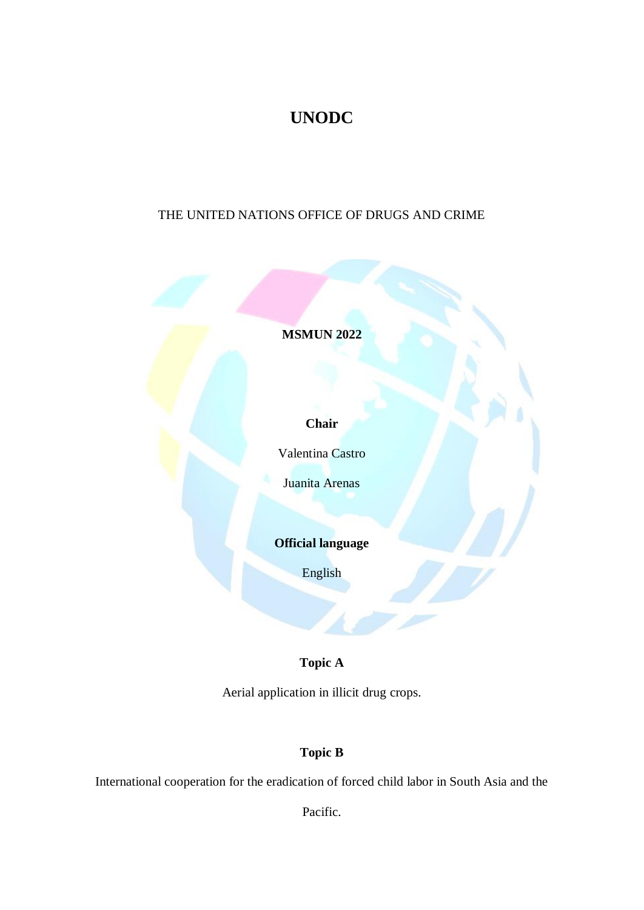# **UNODC**

## THE UNITED NATIONS OFFICE OF DRUGS AND CRIME

**MSMUN 2022**

**Chair**

Valentina Castro

Juanita Arenas

**Official language**

English

## **Topic A**

Aerial application in illicit drug crops.

## **Topic B**

International cooperation for the eradication of forced child labor in South Asia and the

Pacific.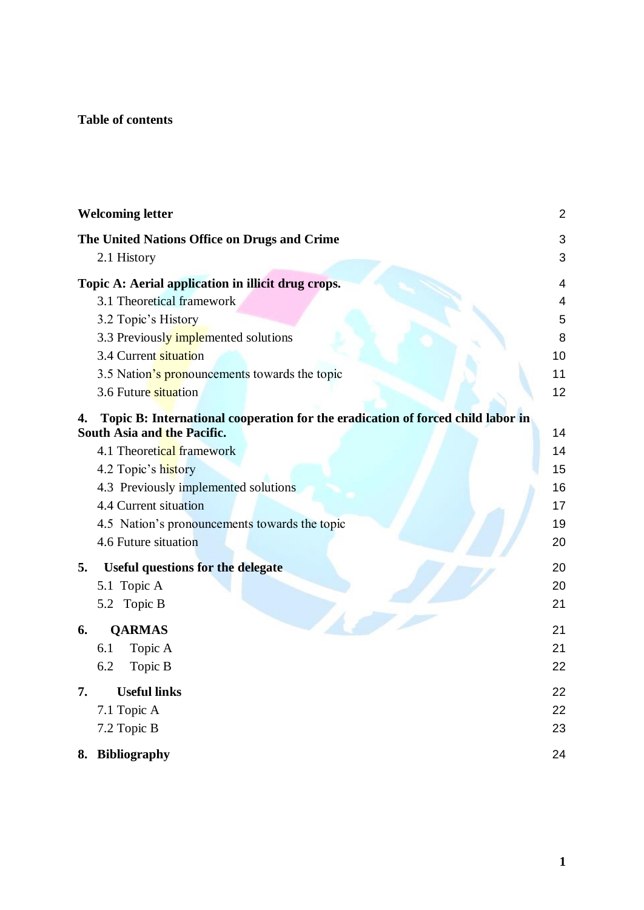## **Table of contents**

|    | <b>Welcoming letter</b>                                                         | $\overline{c}$ |
|----|---------------------------------------------------------------------------------|----------------|
|    | The United Nations Office on Drugs and Crime                                    | 3              |
|    | 2.1 History                                                                     | 3              |
|    | Topic A: Aerial application in illicit drug crops.                              | 4              |
|    | 3.1 Theoretical framework                                                       | 4              |
|    | 3.2 Topic's History                                                             | 5              |
|    | 3.3 Previously implemented solutions                                            | 8              |
|    | 3.4 Current situation                                                           | 10             |
|    | 3.5 Nation's pronouncements towards the topic                                   | 11             |
|    | 3.6 Future situation                                                            | 12             |
| 4. | Topic B: International cooperation for the eradication of forced child labor in |                |
|    | South Asia and the Pacific.                                                     | 14             |
|    | 4.1 Theoretical framework                                                       | 14             |
|    | 4.2 Topic's history                                                             | 15             |
|    | 4.3 Previously implemented solutions                                            | 16             |
|    | 4.4 Current situation                                                           | 17             |
|    | 4.5 Nation's pronouncements towards the topic                                   | 19             |
|    | 4.6 Future situation                                                            | 20             |
| 5. | <b>Useful questions for the delegate</b>                                        | 20             |
|    | 5.1 Topic A                                                                     | 20             |
|    | 5.2 Topic B                                                                     | 21             |
| 6. | <b>QARMAS</b>                                                                   | 21             |
|    | 6.1<br>Topic A                                                                  | 21             |
|    | 6.2<br>Topic B                                                                  | 22             |
| 7. | <b>Useful links</b>                                                             | 22             |
|    | 7.1 Topic A                                                                     | 22             |
|    | 7.2 Topic B                                                                     | 23             |
|    |                                                                                 |                |
|    | 8. Bibliography                                                                 | 24             |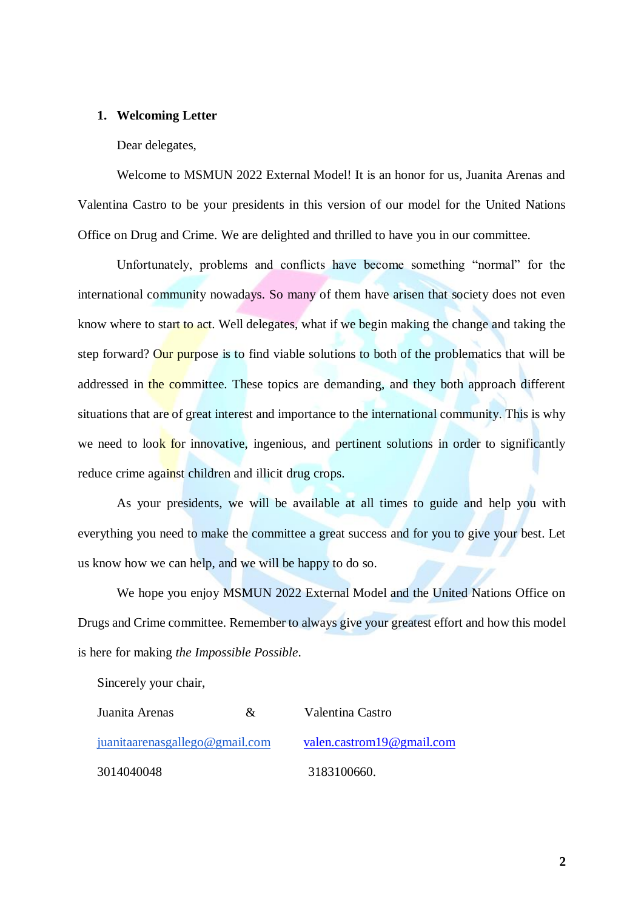#### <span id="page-2-0"></span>**1. Welcoming Letter**

#### Dear delegates,

Welcome to MSMUN 2022 External Model! It is an honor for us, Juanita Arenas and Valentina Castro to be your presidents in this version of our model for the United Nations Office on Drug and Crime. We are delighted and thrilled to have you in our committee.

Unfortunately, problems and conflicts have become something "normal" for the international community nowadays. So many of them have arisen that society does not even know where to start to act. Well delegates, what if we begin making the change and taking the step forward? Our purpose is to find viable solutions to both of the problematics that will be addressed in the committee. These topics are demanding, and they both approach different situations that are of great interest and importance to the international community. This is why we need to look for innovative, ingenious, and pertinent solutions in order to significantly reduce crime against children and illicit drug crops.

As your presidents, we will be available at all times to guide and help you with everything you need to make the committee a great success and for you to give your best. Let us know how we can help, and we will be happy to do so.

We hope you enjoy MSMUN 2022 External Model and the United Nations Office on Drugs and Crime committee. Remember to always give your greatest effort and how this model is here for making *the Impossible Possible*.

Sincerely your chair,

| Juanita Arenas                 | $\&$ | Valentina Castro                 |
|--------------------------------|------|----------------------------------|
| juanitaarenasgallego@gmail.com |      | <u>valen.castrom19@gmail.com</u> |
| 3014040048                     |      | 3183100660.                      |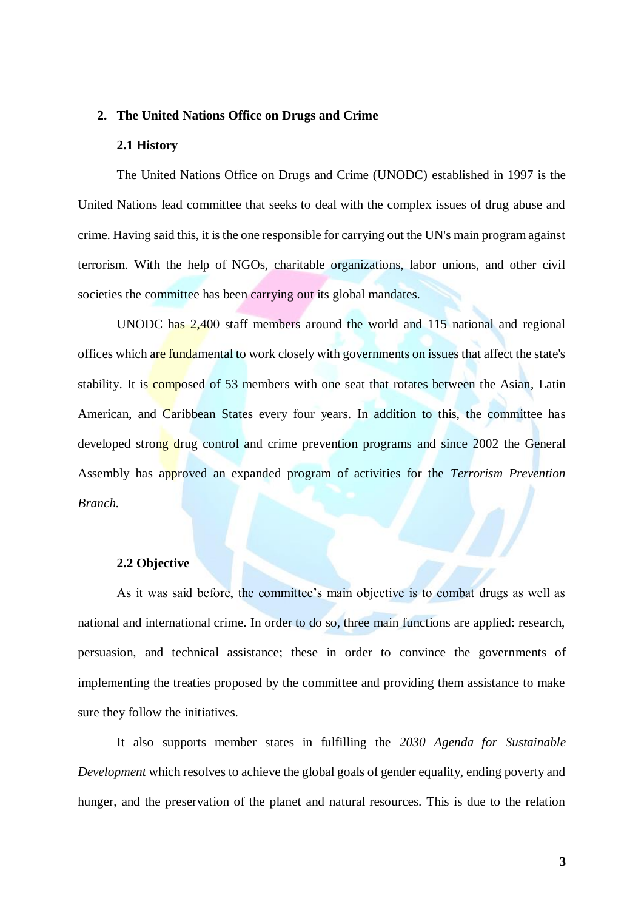#### <span id="page-3-0"></span>**2. The United Nations Office on Drugs and Crime**

#### **2.1 History**

<span id="page-3-1"></span>The United Nations Office on Drugs and Crime (UNODC) established in 1997 is the United Nations lead committee that seeks to deal with the complex issues of drug abuse and crime. Having said this, it is the one responsible for carrying out the UN's main program against terrorism. With the help of NGOs, charitable organizations, labor unions, and other civil societies the committee has been carrying out its global mandates.

UNODC has 2,400 staff members around the world and 115 national and regional offices which are fundamental to work closely with governments on issues that affect the state's stability. It is **composed** of 53 members with one seat that rotates between the Asian, Latin American, and Caribbean States every four years. In addition to this, the committee has developed strong drug control and crime prevention programs and since 2002 the General Assembly has approved an expanded program of activities for the *Terrorism Prevention Branch.*

#### **2.2 Objective**

As it was said before, the committee's main objective is to combat drugs as well as national and international crime. In order to do so, three main functions are applied: research, persuasion, and technical assistance; these in order to convince the governments of implementing the treaties proposed by the committee and providing them assistance to make sure they follow the initiatives.

It also supports member states in fulfilling the *2030 Agenda for Sustainable Development* which resolves to achieve the global goals of gender equality, ending poverty and hunger, and the preservation of the planet and natural resources. This is due to the relation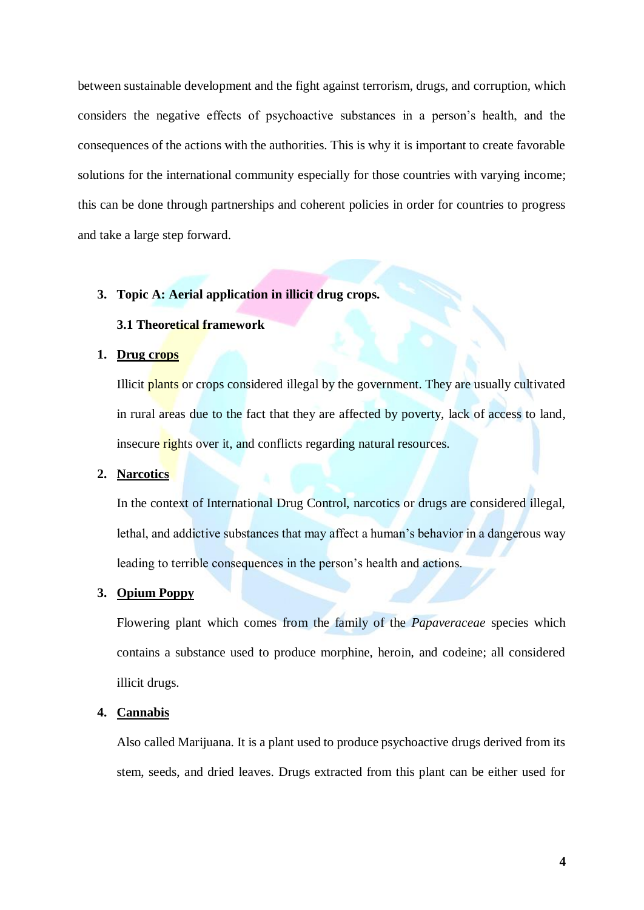between sustainable development and the fight against terrorism, drugs, and corruption, which considers the negative effects of psychoactive substances in a person's health, and the consequences of the actions with the authorities. This is why it is important to create favorable solutions for the international community especially for those countries with varying income; this can be done through partnerships and coherent policies in order for countries to progress and take a large step forward.

#### <span id="page-4-1"></span><span id="page-4-0"></span>**3. Topic A: Aerial application in illicit drug crops.**

### **3.1 Theoretical framework**

#### **1. Drug crops**

Illicit plants or crops considered illegal by the government. They are usually cultivated in rural areas due to the fact that they are affected by poverty, lack of access to land, insecure rights over it, and conflicts regarding natural resources.

### **2. Narcotics**

In the context of International Drug Control, narcotics or drugs are considered illegal, lethal, and addictive substances that may affect a human's behavior in a dangerous way leading to terrible consequences in the person's health and actions.

### **3. Opium Poppy**

Flowering plant which comes from the family of the *Papaveraceae* species which contains a substance used to produce morphine, heroin, and codeine; all considered illicit drugs.

#### **4. Cannabis**

Also called Marijuana. It is a plant used to produce psychoactive drugs derived from its stem, seeds, and dried leaves. Drugs extracted from this plant can be either used for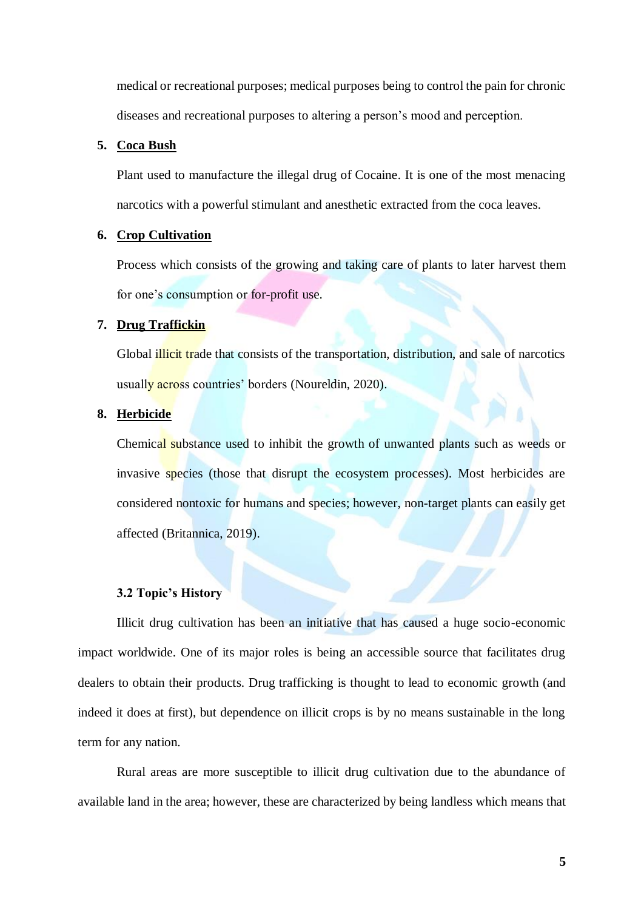medical or recreational purposes; medical purposes being to control the pain for chronic diseases and recreational purposes to altering a person's mood and perception.

#### **5. Coca Bush**

Plant used to manufacture the illegal drug of Cocaine. It is one of the most menacing narcotics with a powerful stimulant and anesthetic extracted from the coca leaves.

#### **6. Crop Cultivation**

Process which consists of the growing and taking care of plants to later harvest them for one's consumption or for-profit use.

### **7. Drug Traffickin**

Global *illicit trade that consists of the transportation*, distribution, and sale of narcotics usually across countries' borders (Noureldin, 2020).

#### **8. Herbicide**

Chemical substance used to inhibit the growth of unwanted plants such as weeds or invasive species (those that disrupt the ecosystem processes). Most herbicides are considered nontoxic for humans and species; however, non-target plants can easily get affected (Britannica, 2019).

### **3.2 Topic's History**

<span id="page-5-0"></span>Illicit drug cultivation has been an initiative that has caused a huge socio-economic impact worldwide. One of its major roles is being an accessible source that facilitates drug dealers to obtain their products. Drug trafficking is thought to lead to economic growth (and indeed it does at first), but dependence on illicit crops is by no means sustainable in the long term for any nation.

Rural areas are more susceptible to illicit drug cultivation due to the abundance of available land in the area; however, these are characterized by being landless which means that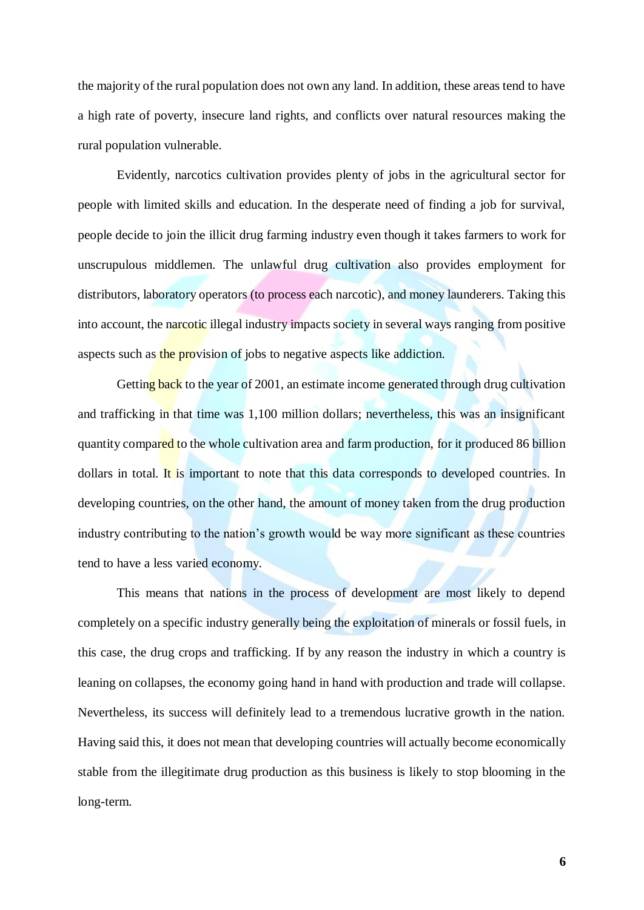the majority of the rural population does not own any land. In addition, these areas tend to have a high rate of poverty, insecure land rights, and conflicts over natural resources making the rural population vulnerable.

Evidently, narcotics cultivation provides plenty of jobs in the agricultural sector for people with limited skills and education. In the desperate need of finding a job for survival, people decide to join the illicit drug farming industry even though it takes farmers to work for unscrupulous middlemen. The unlawful drug cultivation also provides employment for distributors, laboratory operators (to process each narcotic), and money launderers. Taking this into account, the narcotic illegal industry impacts society in several ways ranging from positive aspects such as the provision of jobs to negative aspects like addiction.

Getting back to the year of 2001, an estimate income generated through drug cultivation and trafficking in that time was 1,100 million dollars; nevertheless, this was an insignificant quantity compared to the whole cultivation area and farm production, for it produced 86 billion dollars in total. It is important to note that this data corresponds to developed countries. In developing countries, on the other hand, the amount of money taken from the drug production industry contributing to the nation's growth would be way more significant as these countries tend to have a less varied economy.

This means that nations in the process of development are most likely to depend completely on a specific industry generally being the exploitation of minerals or fossil fuels, in this case, the drug crops and trafficking. If by any reason the industry in which a country is leaning on collapses, the economy going hand in hand with production and trade will collapse. Nevertheless, its success will definitely lead to a tremendous lucrative growth in the nation. Having said this, it does not mean that developing countries will actually become economically stable from the illegitimate drug production as this business is likely to stop blooming in the long-term.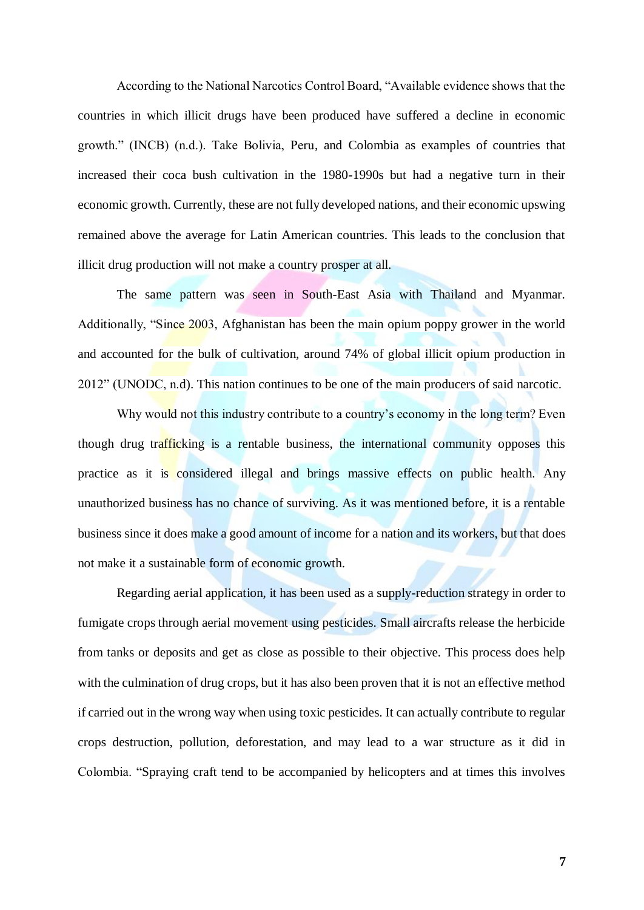According to the National Narcotics Control Board, "Available evidence shows that the countries in which illicit drugs have been produced have suffered a decline in economic growth." (INCB) (n.d.). Take Bolivia, Peru, and Colombia as examples of countries that increased their coca bush cultivation in the 1980-1990s but had a negative turn in their economic growth. Currently, these are not fully developed nations, and their economic upswing remained above the average for Latin American countries. This leads to the conclusion that illicit drug production will not make a country prosper at all.

The same pattern was seen in South-East Asia with Thailand and Myanmar. Additionally, "Since 2003, Afghanistan has been the main opium poppy grower in the world and accounted for the bulk of cultivation, around 74% of global illicit opium production in 2012" (UNODC, n.d). This nation continues to be one of the main producers of said narcotic.

Why would not this industry contribute to a country's economy in the long term? Even though drug trafficking is a rentable business, the international community opposes this practice as it is considered illegal and brings massive effects on public health. Any unauthorized business has no chance of surviving. As it was mentioned before, it is a rentable business since it does make a good amount of income for a nation and its workers, but that does not make it a sustainable form of economic growth.

Regarding aerial application, it has been used as a supply-reduction strategy in order to fumigate crops through aerial movement using pesticides. Small aircrafts release the herbicide from tanks or deposits and get as close as possible to their objective. This process does help with the culmination of drug crops, but it has also been proven that it is not an effective method if carried out in the wrong way when using toxic pesticides. It can actually contribute to regular crops destruction, pollution, deforestation, and may lead to a war structure as it did in Colombia. "Spraying craft tend to be accompanied by helicopters and at times this involves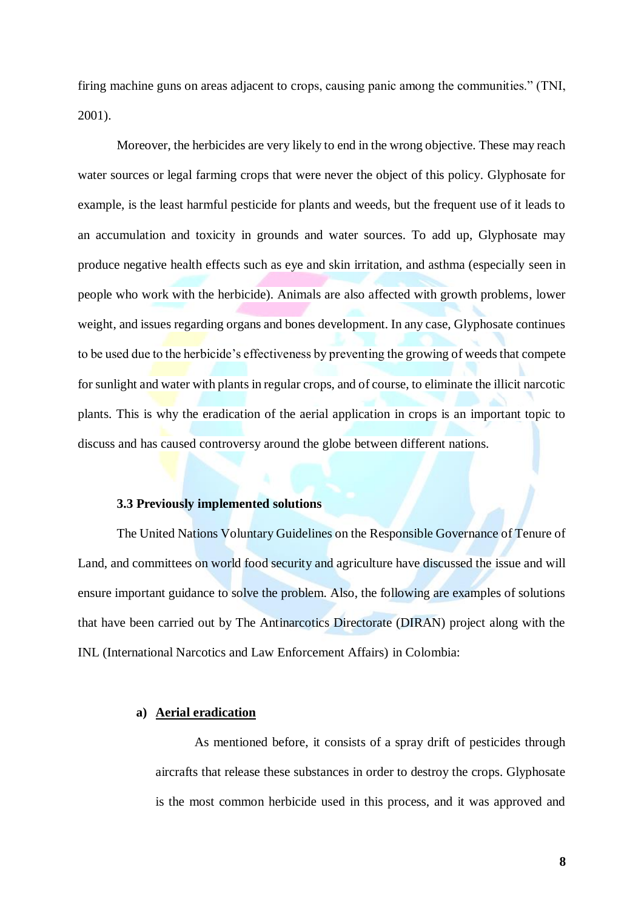firing machine guns on areas adjacent to crops, causing panic among the communities." (TNI, 2001).

Moreover, the herbicides are very likely to end in the wrong objective. These may reach water sources or legal farming crops that were never the object of this policy. Glyphosate for example, is the least harmful pesticide for plants and weeds, but the frequent use of it leads to an accumulation and toxicity in grounds and water sources. To add up, Glyphosate may produce negative health effects such as eye and skin irritation, and asthma (especially seen in people who work with the herbicide). Animals are also affected with growth problems, lower weight, and issues regarding organs and bones development. In any case, Glyphosate continues to be used due to the herbicide's effectiveness by preventing the growing of weeds that compete for sunlight and water with plants in regular crops, and of course, to eliminate the illicit narcotic plants. This is why the eradication of the aerial application in crops is an important topic to discuss and has caused controversy around the globe between different nations.

#### **3.3 Previously implemented solutions**

<span id="page-8-0"></span>The United Nations Voluntary Guidelines on the Responsible Governance of Tenure of Land, and committees on world food security and agriculture have discussed the issue and will ensure important guidance to solve the problem. Also, the following are examples of solutions that have been carried out by The Antinarcotics Directorate (DIRAN) project along with the INL (International Narcotics and Law Enforcement Affairs) in Colombia:

#### **a) Aerial eradication**

As mentioned before, it consists of a spray drift of pesticides through aircrafts that release these substances in order to destroy the crops. Glyphosate is the most common herbicide used in this process, and it was approved and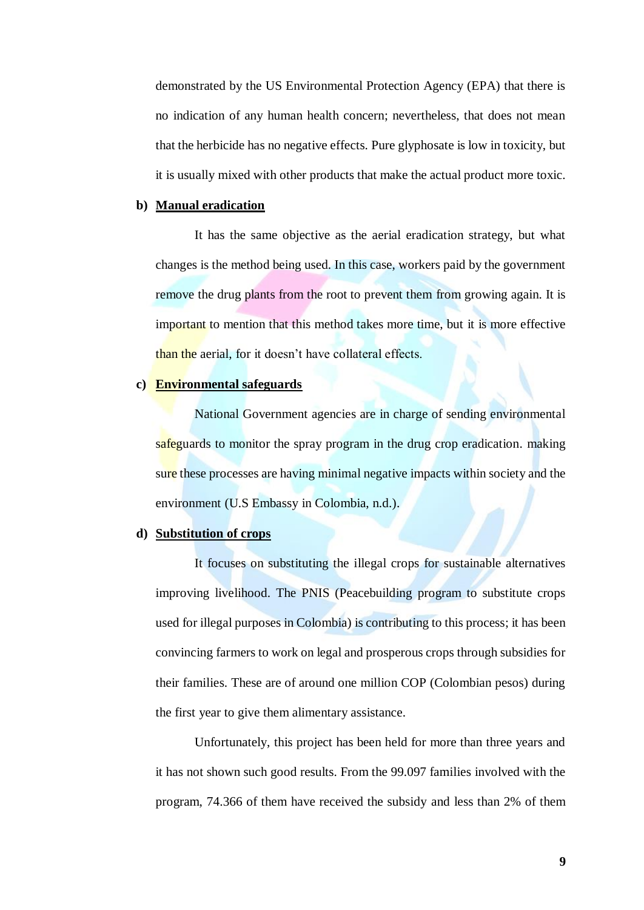demonstrated by the US Environmental Protection Agency (EPA) that there is no indication of any human health concern; nevertheless, that does not mean that the herbicide has no negative effects. Pure glyphosate is low in toxicity, but it is usually mixed with other products that make the actual product more toxic.

#### **b) Manual eradication**

It has the same objective as the aerial eradication strategy, but what changes is the method being used. In this case, workers paid by the government remove the drug plants from the root to prevent them from growing again. It is important to mention that this method takes more time, but it is more effective than the aerial, for it doesn't have collateral effects.

### **c) Environmental safeguards**

National Government agencies are in charge of sending environmental safeguards to monitor the spray program in the drug crop eradication. making sure these processes are having minimal negative impacts within society and the environment (U.S Embassy in Colombia, n.d.).

### **d) Substitution of crops**

It focuses on substituting the illegal crops for sustainable alternatives improving livelihood. The PNIS (Peacebuilding program to substitute crops used for illegal purposes in Colombia) is contributing to this process; it has been convincing farmers to work on legal and prosperous crops through subsidies for their families. These are of around one million COP (Colombian pesos) during the first year to give them alimentary assistance.

Unfortunately, this project has been held for more than three years and it has not shown such good results. From the 99.097 families involved with the program, 74.366 of them have received the subsidy and less than 2% of them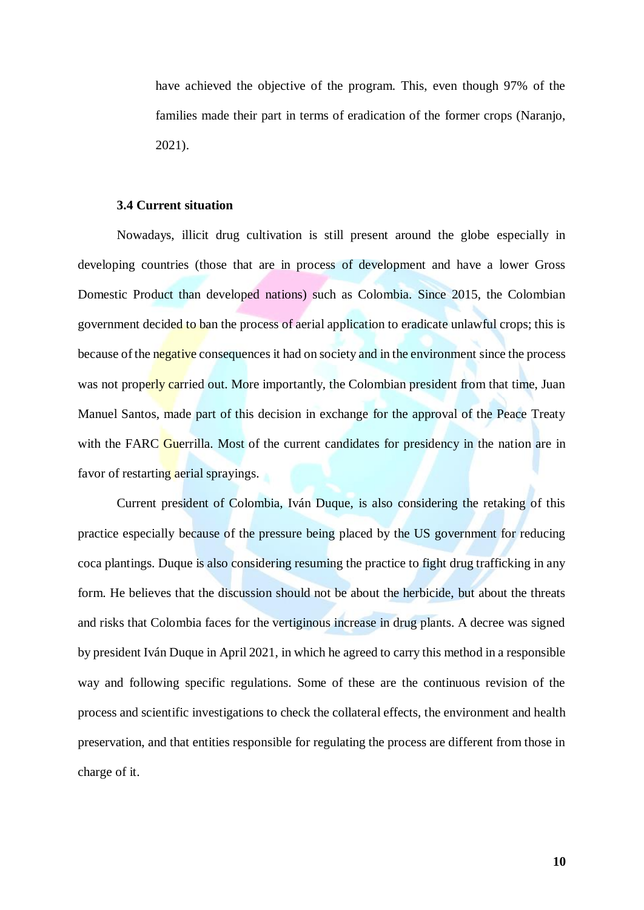have achieved the objective of the program. This, even though 97% of the families made their part in terms of eradication of the former crops (Naranjo, 2021).

#### **3.4 Current situation**

<span id="page-10-0"></span>Nowadays, illicit drug cultivation is still present around the globe especially in developing countries (those that are in process of development and have a lower Gross Domestic Product than developed nations) such as Colombia. Since 2015, the Colombian government decided to ban the process of aerial application to eradicate unlawful crops; this is because of the negative consequences it had on society and in the environment since the process was not properly carried out. More importantly, the Colombian president from that time, Juan Manuel Santos, made part of this decision in exchange for the approval of the Peace Treaty with the FARC Guerrilla. Most of the current candidates for presidency in the nation are in favor of restarting aerial sprayings.

Current president of Colombia, Iván Duque, is also considering the retaking of this practice especially because of the pressure being placed by the US government for reducing coca plantings. Duque is also considering resuming the practice to fight drug trafficking in any form. He believes that the discussion should not be about the herbicide, but about the threats and risks that Colombia faces for the vertiginous increase in drug plants. A decree was signed by president Iván Duque in April 2021, in which he agreed to carry this method in a responsible way and following specific regulations. Some of these are the continuous revision of the process and scientific investigations to check the collateral effects, the environment and health preservation, and that entities responsible for regulating the process are different from those in charge of it.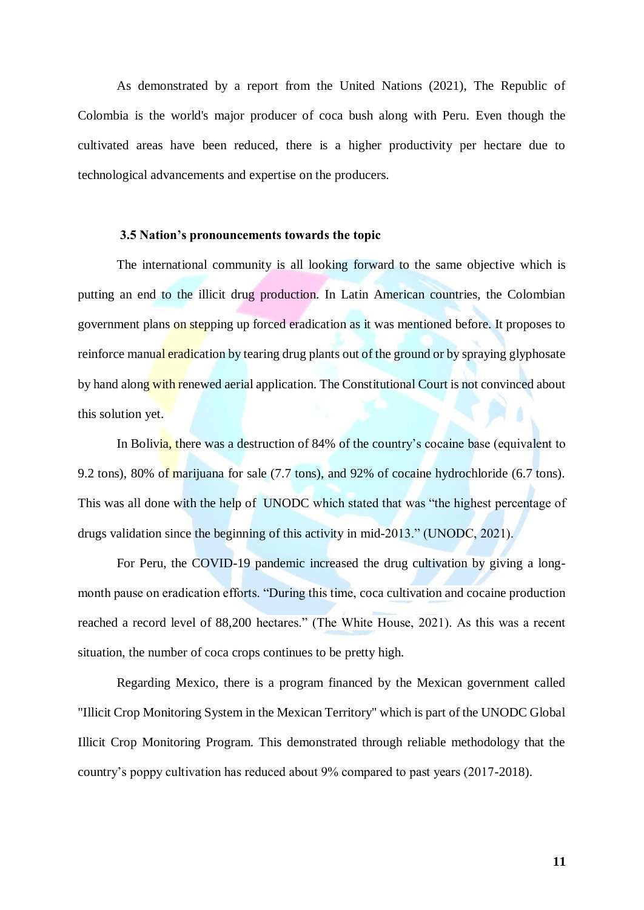As demonstrated by a report from the United Nations (2021), The Republic of Colombia is the world's major producer of coca bush along with Peru. Even though the cultivated areas have been reduced, there is a higher productivity per hectare due to technological advancements and expertise on the producers.

#### **3.5 Nation's pronouncements towards the topic**

<span id="page-11-0"></span>The international community is all looking forward to the same objective which is putting an end to the illicit drug production. In Latin American countries, the Colombian government plans on stepping up forced eradication as it was mentioned before. It proposes to reinforce manual eradication by tearing drug plants out of the ground or by spraying glyphosate by hand along with renewed aerial application. The Constitutional Court is not convinced about this solution yet.

In Bolivia, there was a destruction of 84% of the country's cocaine base (equivalent to 9.2 tons), 80% of marijuana for sale (7.7 tons), and 92% of cocaine hydrochloride (6.7 tons). This was all done with the help of UNODC which stated that was "the highest percentage of drugs validation since the beginning of this activity in mid-2013." (UNODC, 2021).

For Peru, the COVID-19 pandemic increased the drug cultivation by giving a longmonth pause on eradication efforts. "During this time, coca cultivation and cocaine production reached a record level of 88,200 hectares." (The White House, 2021). As this was a recent situation, the number of coca crops continues to be pretty high.

Regarding Mexico, there is a program financed by the Mexican government called "Illicit Crop Monitoring System in the Mexican Territory" which is part of the UNODC Global Illicit Crop Monitoring Program. This demonstrated through reliable methodology that the country's poppy cultivation has reduced about 9% compared to past years (2017-2018).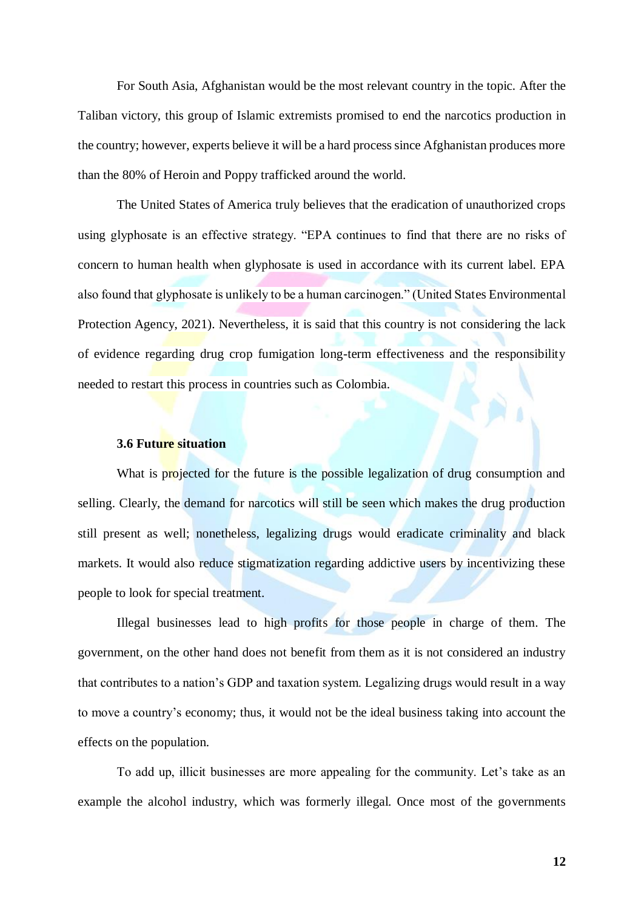For South Asia, Afghanistan would be the most relevant country in the topic. After the Taliban victory, this group of Islamic extremists promised to end the narcotics production in the country; however, experts believe it will be a hard process since Afghanistan produces more than the 80% of Heroin and Poppy trafficked around the world.

The United States of America truly believes that the eradication of unauthorized crops using glyphosate is an effective strategy. "EPA continues to find that there are no risks of concern to human health when glyphosate is used in accordance with its current label. EPA also found that glyphosate is unlikely to be a human carcinogen." (United States Environmental Protection Agency, 2021). Nevertheless, it is said that this country is not considering the lack of evidence regarding drug crop fumigation long-term effectiveness and the responsibility needed to restart this process in countries such as Colombia.

#### **3.6 Future situation**

<span id="page-12-0"></span>What is projected for the future is the possible legalization of drug consumption and selling. Clearly, the demand for narcotics will still be seen which makes the drug production still present as well; nonetheless, legalizing drugs would eradicate criminality and black markets. It would also reduce stigmatization regarding addictive users by incentivizing these people to look for special treatment.

Illegal businesses lead to high profits for those people in charge of them. The government, on the other hand does not benefit from them as it is not considered an industry that contributes to a nation's GDP and taxation system. Legalizing drugs would result in a way to move a country's economy; thus, it would not be the ideal business taking into account the effects on the population.

To add up, illicit businesses are more appealing for the community. Let's take as an example the alcohol industry, which was formerly illegal. Once most of the governments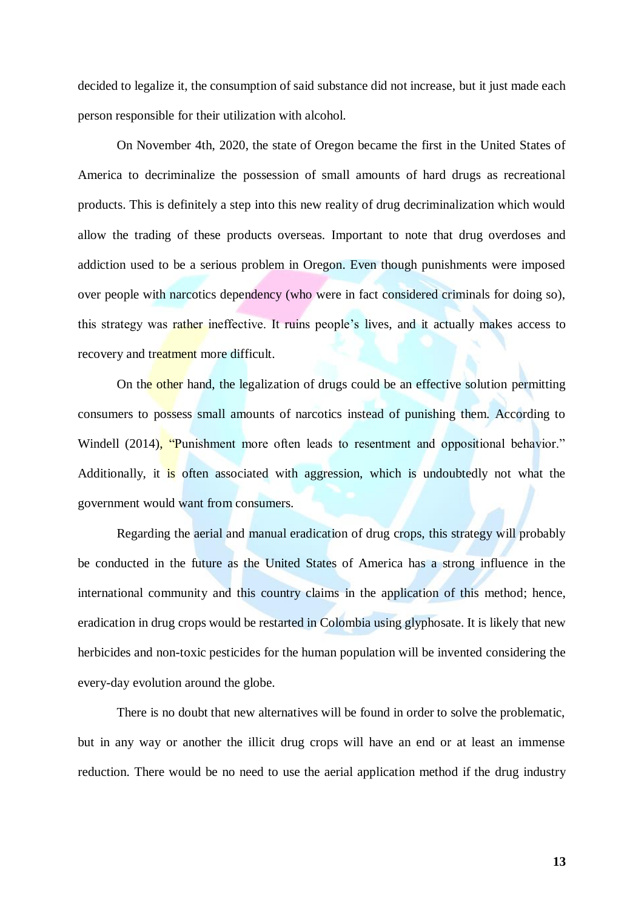decided to legalize it, the consumption of said substance did not increase, but it just made each person responsible for their utilization with alcohol.

On November 4th, 2020, the state of Oregon became the first in the United States of America to decriminalize the possession of small amounts of hard drugs as recreational products. This is definitely a step into this new reality of drug decriminalization which would allow the trading of these products overseas. Important to note that drug overdoses and addiction used to be a serious problem in Oregon. Even though punishments were imposed over people with narcotics dependency (who were in fact considered criminals for doing so), this strategy was rather ineffective. It ruins people's lives, and it actually makes access to recovery and treatment more difficult.

On the other hand, the legalization of drugs could be an effective solution permitting consumers to possess small amounts of narcotics instead of punishing them. According to Windell (2014), "Punishment more often leads to resentment and oppositional behavior." Additionally, it is often associated with aggression, which is undoubtedly not what the government would want from consumers.

Regarding the aerial and manual eradication of drug crops, this strategy will probably be conducted in the future as the United States of America has a strong influence in the international community and this country claims in the application of this method; hence, eradication in drug crops would be restarted in Colombia using glyphosate. It is likely that new herbicides and non-toxic pesticides for the human population will be invented considering the every-day evolution around the globe.

There is no doubt that new alternatives will be found in order to solve the problematic, but in any way or another the illicit drug crops will have an end or at least an immense reduction. There would be no need to use the aerial application method if the drug industry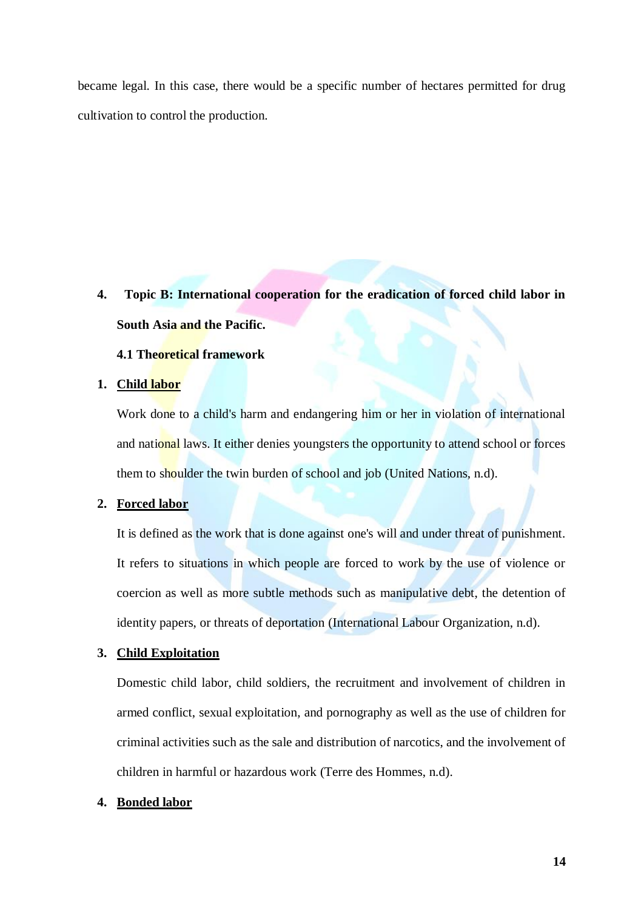became legal. In this case, there would be a specific number of hectares permitted for drug cultivation to control the production.

<span id="page-14-0"></span>**4. Topic B: International cooperation for the eradication of forced child labor in South Asia and the Pacific.**

### **4.1 Theoretical framework**

### <span id="page-14-1"></span>**1. Child labor**

Work done to a child's harm and endangering him or her in violation of international and national laws. It either denies youngsters the opportunity to attend school or forces them to shoulder the twin burden of school and job (United Nations, n.d).

### **2. Forced labor**

It is defined as the work that is done against one's will and under threat of punishment. It refers to situations in which people are forced to work by the use of violence or coercion as well as more subtle methods such as manipulative debt, the detention of identity papers, or threats of deportation (International Labour Organization, n.d).

### **3. Child Exploitation**

Domestic child labor, child soldiers, the recruitment and involvement of children in armed conflict, sexual exploitation, and pornography as well as the use of children for criminal activities such as the sale and distribution of narcotics, and the involvement of children in harmful or hazardous work (Terre des Hommes, n.d).

### **4. Bonded labor**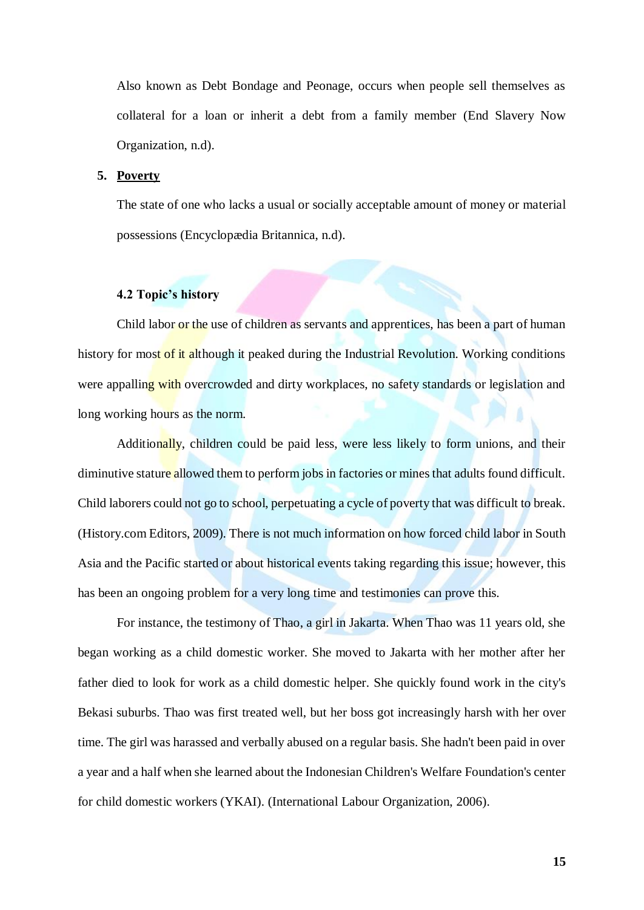Also known as Debt Bondage and Peonage, occurs when people sell themselves as collateral for a loan or inherit a debt from a family member (End Slavery Now Organization, n.d).

#### **5. Poverty**

The state of one who lacks a usual or socially acceptable amount of money or material possessions (Encyclopædia Britannica, n.d).

#### **4.2 Topic's history**

<span id="page-15-0"></span>Child labor or the use of children as servants and apprentices, has been a part of human history for most of it although it peaked during the Industrial Revolution. Working conditions were appalling with overcrowded and dirty workplaces, no safety standards or legislation and long working hours as the norm.

Additionally, children could be paid less, were less likely to form unions, and their diminutive stature allowed them to perform jobs in factories or mines that adults found difficult. Child laborers could not go to school, perpetuating a cycle of poverty that was difficult to break. (History.com Editors, 2009). There is not much information on how forced child labor in South Asia and the Pacific started or about historical events taking regarding this issue; however, this has been an ongoing problem for a very long time and testimonies can prove this.

For instance, the testimony of Thao, a girl in Jakarta. When Thao was 11 years old, she began working as a child domestic worker. She moved to Jakarta with her mother after her father died to look for work as a child domestic helper. She quickly found work in the city's Bekasi suburbs. Thao was first treated well, but her boss got increasingly harsh with her over time. The girl was harassed and verbally abused on a regular basis. She hadn't been paid in over a year and a half when she learned about the Indonesian Children's Welfare Foundation's center for child domestic workers (YKAI). (International Labour Organization, 2006).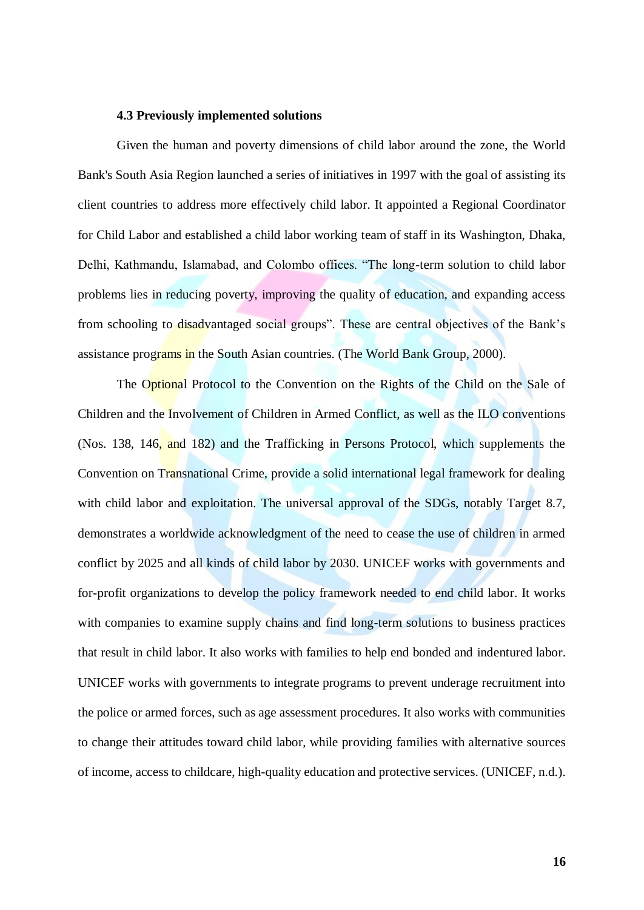#### **4.3 Previously implemented solutions**

<span id="page-16-0"></span>Given the human and poverty dimensions of child labor around the zone, the World Bank's South Asia Region launched a series of initiatives in 1997 with the goal of assisting its client countries to address more effectively child labor. It appointed a Regional Coordinator for Child Labor and established a child labor working team of staff in its Washington, Dhaka, Delhi, Kathmandu, Islamabad, and Colombo offices. "The long-term solution to child labor problems lies in reducing poverty, improving the quality of education, and expanding access from schooling to disadvantaged social groups". These are central objectives of the Bank's assistance programs in the South Asian countries. (The World Bank Group, 2000).

The Optional Protocol to the Convention on the Rights of the Child on the Sale of Children and the Involvement of Children in Armed Conflict, as well as the ILO conventions (Nos. 138, 146, and 182) and the Trafficking in Persons Protocol, which supplements the Convention on Transnational Crime, provide a solid international legal framework for dealing with child labor and exploitation. The universal approval of the SDGs, notably Target 8.7, demonstrates a worldwide acknowledgment of the need to cease the use of children in armed conflict by 2025 and all kinds of child labor by 2030. UNICEF works with governments and for-profit organizations to develop the policy framework needed to end child labor. It works with companies to examine supply chains and find long-term solutions to business practices that result in child labor. It also works with families to help end bonded and indentured labor. UNICEF works with governments to integrate programs to prevent underage recruitment into the police or armed forces, such as age assessment procedures. It also works with communities to change their attitudes toward child labor, while providing families with alternative sources of income, access to childcare, high-quality education and protective services. (UNICEF, n.d.).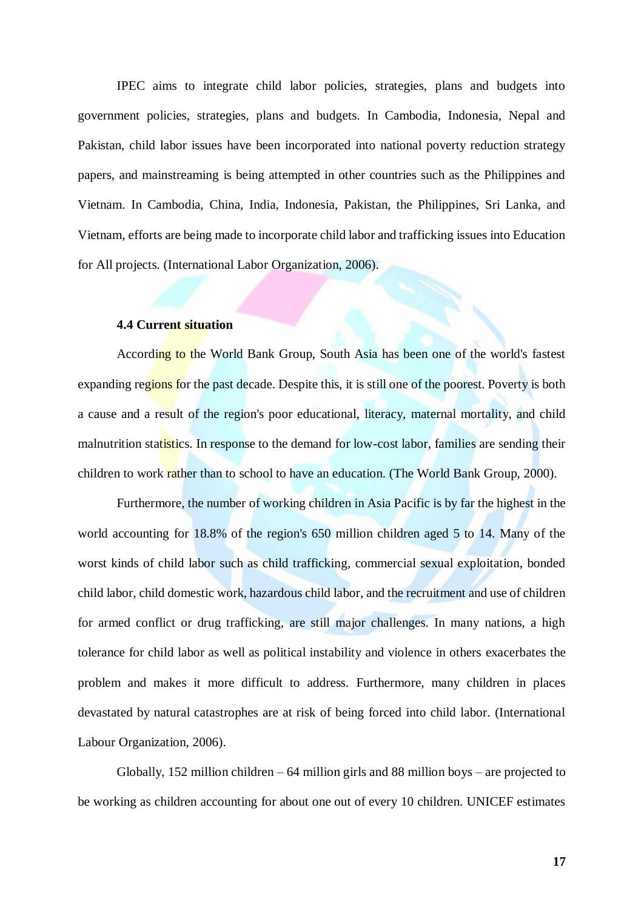IPEC aims to integrate child labor policies, strategies, plans and budgets into government policies, strategies, plans and budgets. In Cambodia, Indonesia, Nepal and Pakistan, child labor issues have been incorporated into national poverty reduction strategy papers, and mainstreaming is being attempted in other countries such as the Philippines and Vietnam. In Cambodia, China, India, Indonesia, Pakistan, the Philippines, Sri Lanka, and Vietnam, efforts are being made to incorporate child labor and trafficking issues into Education for All projects. (International Labor Organization, 2006).

### **4.4 Current situation**

<span id="page-17-0"></span>According to the World Bank Group, South Asia has been one of the world's fastest expanding regions for the past decade. Despite this, it is still one of the poorest. Poverty is both a cause and a result of the region's poor educational, literacy, maternal mortality, and child malnutrition statistics. In response to the demand for low-cost labor, families are sending their children to work rather than to school to have an education. (The World Bank Group, 2000).

Furthermore, the number of working children in Asia Pacific is by far the highest in the world accounting for 18.8% of the region's 650 million children aged 5 to 14. Many of the worst kinds of child labor such as child trafficking, commercial sexual exploitation, bonded child labor, child domestic work, hazardous child labor, and the recruitment and use of children for armed conflict or drug trafficking, are still major challenges. In many nations, a high tolerance for child labor as well as political instability and violence in others exacerbates the problem and makes it more difficult to address. Furthermore, many children in places devastated by natural catastrophes are at risk of being forced into child labor. (International Labour Organization, 2006).

Globally, 152 million children – 64 million girls and 88 million boys – are projected to be working as children accounting for about one out of every 10 children. UNICEF estimates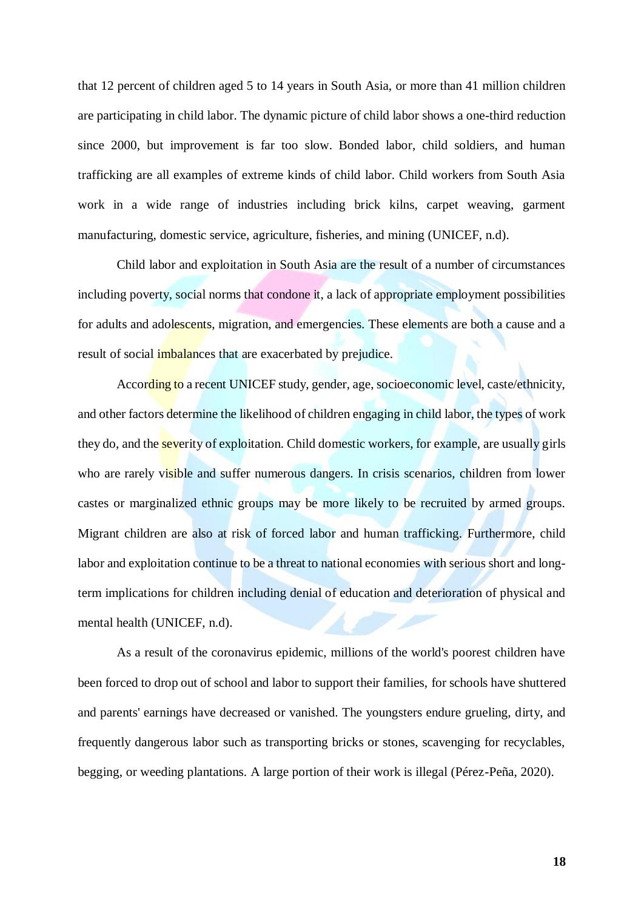that 12 percent of children aged 5 to 14 years in South Asia, or more than 41 million children are participating in child labor. The dynamic picture of child labor shows a one-third reduction since 2000, but improvement is far too slow. Bonded labor, child soldiers, and human trafficking are all examples of extreme kinds of child labor. Child workers from South Asia work in a wide range of industries including brick kilns, carpet weaving, garment manufacturing, domestic service, agriculture, fisheries, and mining (UNICEF, n.d).

Child labor and exploitation in South Asia are the result of a number of circumstances including poverty, social norms that condone it, a lack of appropriate employment possibilities for adults and adolescents, migration, and emergencies. These elements are both a cause and a result of social *imbalances* that are exacerbated by prejudice.

According to a recent UNICEF study, gender, age, socioeconomic level, caste/ethnicity, and other factors determine the likelihood of children engaging in child labor, the types of work they do, and the **severity** of exploitation. Child domestic workers, for example, are usually girls who are rarely visible and suffer numerous dangers. In crisis scenarios, children from lower castes or marginalized ethnic groups may be more likely to be recruited by armed groups. Migrant children are also at risk of forced labor and human trafficking. Furthermore, child labor and exploitation continue to be a threat to national economies with serious short and longterm implications for children including denial of education and deterioration of physical and mental health (UNICEF, n.d).

As a result of the coronavirus epidemic, millions of the world's poorest children have been forced to drop out of school and labor to support their families, for schools have shuttered and parents' earnings have decreased or vanished. The youngsters endure grueling, dirty, and frequently dangerous labor such as transporting bricks or stones, scavenging for recyclables, begging, or weeding plantations. A large portion of their work is illegal (Pérez-Peña, 2020).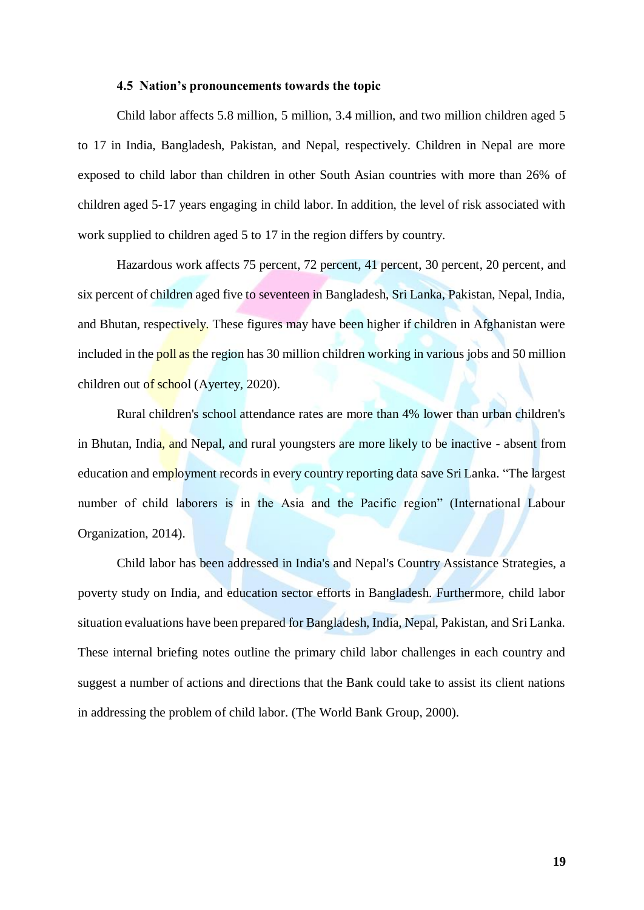#### **4.5 Nation's pronouncements towards the topic**

<span id="page-19-0"></span>Child labor affects 5.8 million, 5 million, 3.4 million, and two million children aged 5 to 17 in India, Bangladesh, Pakistan, and Nepal, respectively. Children in Nepal are more exposed to child labor than children in other South Asian countries with more than 26% of children aged 5-17 years engaging in child labor. In addition, the level of risk associated with work supplied to children aged 5 to 17 in the region differs by country.

Hazardous work affects 75 percent, 72 percent, 41 percent, 30 percent, 20 percent, and six percent of children aged five to seventeen in Bangladesh, Sri Lanka, Pakistan, Nepal, India, and Bhutan, respectively. These figures may have been higher if children in Afghanistan were included in the poll as the region has 30 million children working in various jobs and 50 million children out of school (Ayertey, 2020).

Rural children's school attendance rates are more than 4% lower than urban children's in Bhutan, India, and Nepal, and rural youngsters are more likely to be inactive - absent from education and employment records in every country reporting data save Sri Lanka. "The largest number of child laborers is in the Asia and the Pacific region" (International Labour Organization, 2014).

Child labor has been addressed in India's and Nepal's Country Assistance Strategies, a poverty study on India, and education sector efforts in Bangladesh. Furthermore, child labor situation evaluations have been prepared for Bangladesh, India, Nepal, Pakistan, and Sri Lanka. These internal briefing notes outline the primary child labor challenges in each country and suggest a number of actions and directions that the Bank could take to assist its client nations in addressing the problem of child labor. (The World Bank Group, 2000).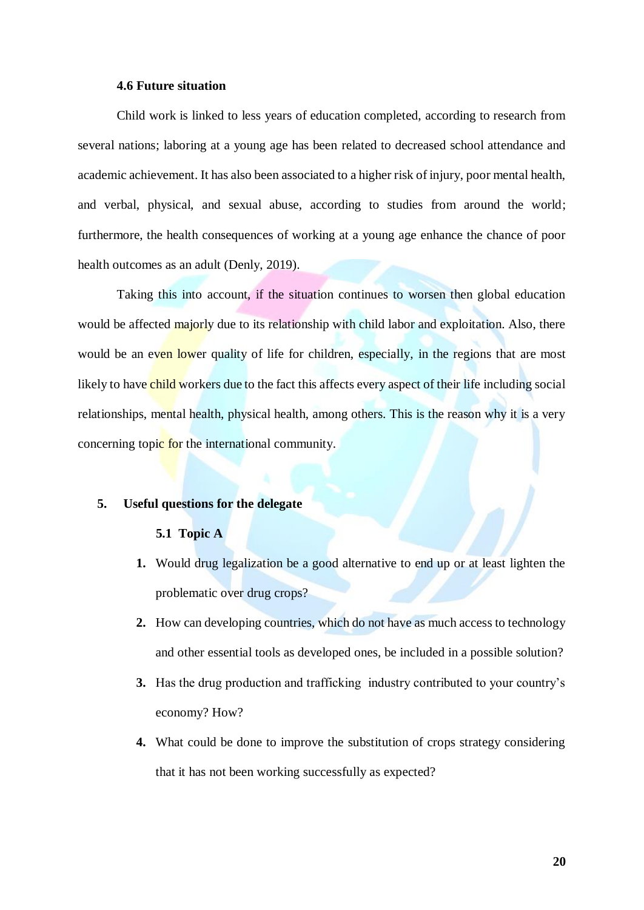#### **4.6 Future situation**

<span id="page-20-0"></span>Child work is linked to less years of education completed, according to research from several nations; laboring at a young age has been related to decreased school attendance and academic achievement. It has also been associated to a higher risk of injury, poor mental health, and verbal, physical, and sexual abuse, according to studies from around the world; furthermore, the health consequences of working at a young age enhance the chance of poor health outcomes as an adult (Denly, 2019).

Taking this into account, if the situation continues to worsen then global education would be affected majorly due to its relationship with child labor and exploitation. Also, there would be an even lower quality of life for children, especially, in the regions that are most likely to have child workers due to the fact this affects every aspect of their life including social relationships, mental health, physical health, among others. This is the reason why it is a very concerning topic for the international community.

#### <span id="page-20-2"></span><span id="page-20-1"></span>**5. Useful questions for the delegate**

#### **5.1 Topic A**

- **1.** Would drug legalization be a good alternative to end up or at least lighten the problematic over drug crops?
- **2.** How can developing countries, which do not have as much access to technology and other essential tools as developed ones, be included in a possible solution?
- **3.** Has the drug production and trafficking industry contributed to your country's economy? How?
- **4.** What could be done to improve the substitution of crops strategy considering that it has not been working successfully as expected?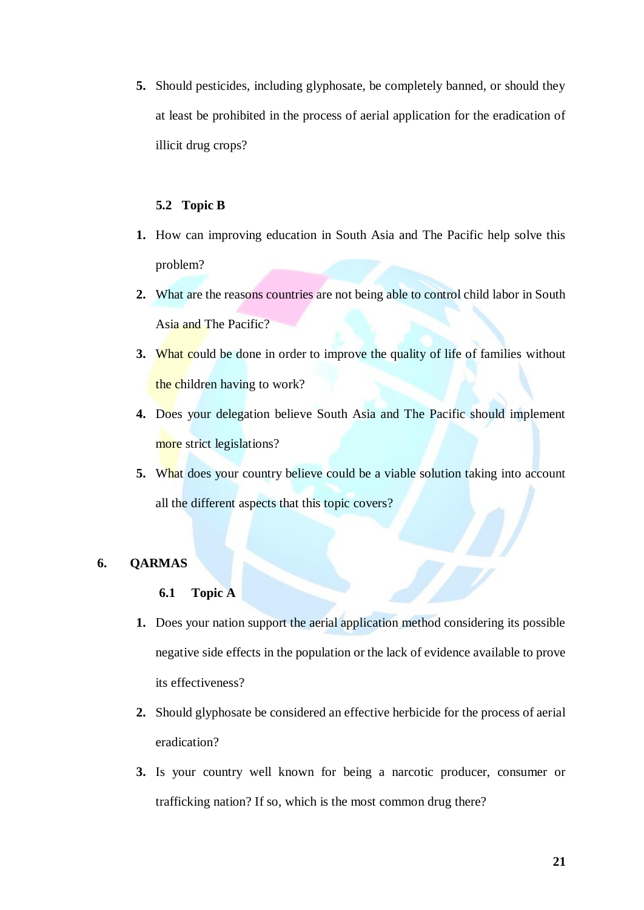**5.** Should pesticides, including glyphosate, be completely banned, or should they at least be prohibited in the process of aerial application for the eradication of illicit drug crops?

#### **5.2 Topic B**

- <span id="page-21-0"></span>**1.** How can improving education in South Asia and The Pacific help solve this problem?
- **2.** What are the reasons countries are not being able to control child labor in South Asia and The Pacific?
- **3.** What could be done in order to improve the quality of life of families without the children having to work?
- **4.** Does your delegation believe South Asia and The Pacific should implement more strict legislations?
- **5.** What does your country believe could be a viable solution taking into account all the different aspects that this topic covers?

### <span id="page-21-2"></span><span id="page-21-1"></span>**6. QARMAS**

### **6.1 Topic A**

- **1.** Does your nation support the aerial application method considering its possible negative side effects in the population or the lack of evidence available to prove its effectiveness?
- **2.** Should glyphosate be considered an effective herbicide for the process of aerial eradication?
- **3.** Is your country well known for being a narcotic producer, consumer or trafficking nation? If so, which is the most common drug there?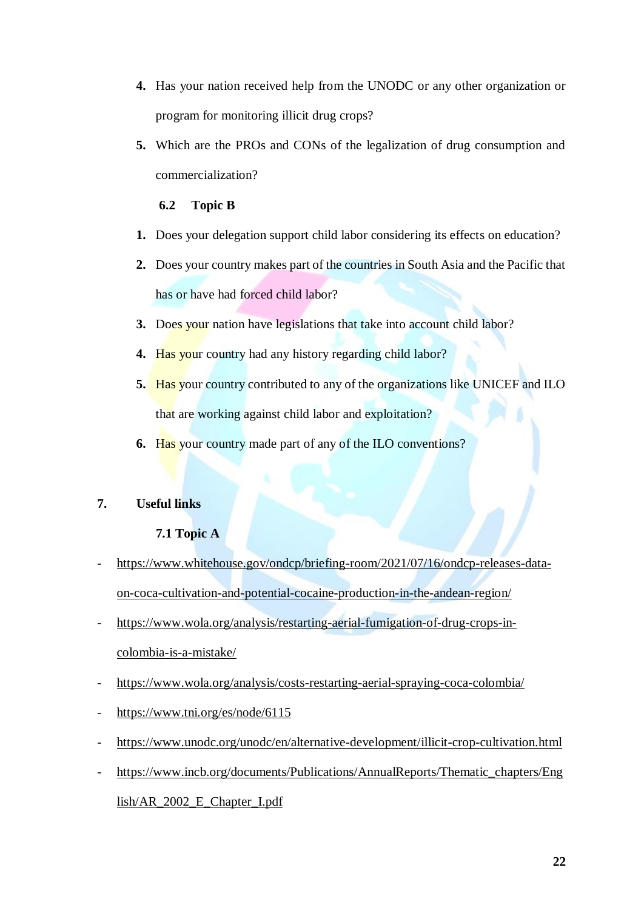- **4.** Has your nation received help from the UNODC or any other organization or program for monitoring illicit drug crops?
- **5.** Which are the PROs and CONs of the legalization of drug consumption and commercialization?

### **6.2 Topic B**

- <span id="page-22-0"></span>**1.** Does your delegation support child labor considering its effects on education?
- **2.** Does your country makes part of the countries in South Asia and the Pacific that has or have had forced child labor?
- **3.** Does your nation have legislations that take into account child labor?
- **4.** Has your country had any history regarding child labor?
- **5.** Has your country contributed to any of the organizations like UNICEF and ILO that are working against child labor and exploitation?
- **6.** Has your country made part of any of the ILO conventions?

### <span id="page-22-2"></span><span id="page-22-1"></span>**7. Useful links**

### **7.1 Topic A**

- [https://www.whitehouse.gov/ondcp/briefing-room/2021/07/16/ondcp-releases-data](https://www.whitehouse.gov/ondcp/briefing-room/2021/07/16/ondcp-releases-data-on-coca-cultivation-and-potential-cocaine-production-in-the-andean-region/)[on-coca-cultivation-and-potential-cocaine-production-in-the-andean-region/](https://www.whitehouse.gov/ondcp/briefing-room/2021/07/16/ondcp-releases-data-on-coca-cultivation-and-potential-cocaine-production-in-the-andean-region/)
- [https://www.wola.org/analysis/restarting-aerial-fumigation-of-drug-crops-in](https://www.wola.org/analysis/restarting-aerial-fumigation-of-drug-crops-in-colombia-is-a-mistake/)[colombia-is-a-mistake/](https://www.wola.org/analysis/restarting-aerial-fumigation-of-drug-crops-in-colombia-is-a-mistake/)
- <https://www.wola.org/analysis/costs-restarting-aerial-spraying-coca-colombia/>
- <https://www.tni.org/es/node/6115>
- <https://www.unodc.org/unodc/en/alternative-development/illicit-crop-cultivation.html>
- [https://www.incb.org/documents/Publications/AnnualReports/Thematic\\_chapters/Eng](https://www.incb.org/documents/Publications/AnnualReports/Thematic_chapters/English/AR_2002_E_Chapter_I.pdf) [lish/AR\\_2002\\_E\\_Chapter\\_I.pdf](https://www.incb.org/documents/Publications/AnnualReports/Thematic_chapters/English/AR_2002_E_Chapter_I.pdf)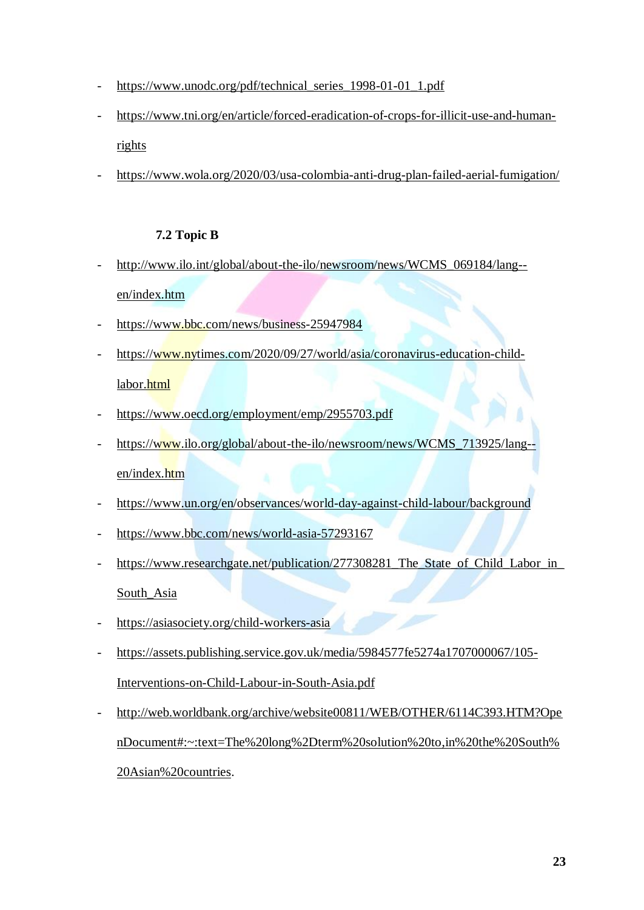- [https://www.unodc.org/pdf/technical\\_series\\_1998-01-01\\_1.pdf](https://www.unodc.org/pdf/technical_series_1998-01-01_1.pdf)
- [https://www.tni.org/en/article/forced-eradication-of-crops-for-illicit-use-and-human](https://www.tni.org/en/article/forced-eradication-of-crops-for-illicit-use-and-human-rights)[rights](https://www.tni.org/en/article/forced-eradication-of-crops-for-illicit-use-and-human-rights)
- <https://www.wola.org/2020/03/usa-colombia-anti-drug-plan-failed-aerial-fumigation/>

### **7.2 Topic B**

- <span id="page-23-0"></span>- [http://www.ilo.int/global/about-the-ilo/newsroom/news/WCMS\\_069184/lang-](http://www.ilo.int/global/about-the-ilo/newsroom/news/WCMS_069184/lang--en/index.htm) [en/index.htm](http://www.ilo.int/global/about-the-ilo/newsroom/news/WCMS_069184/lang--en/index.htm)
- <https://www.bbc.com/news/business-25947984>
- [https://www.nytimes.com/2020/09/27/world/asia/coronavirus-education-child-](https://www.nytimes.com/2020/09/27/world/asia/coronavirus-education-child-labor.html)

### [labor.html](https://www.nytimes.com/2020/09/27/world/asia/coronavirus-education-child-labor.html)

- <https://www.oecd.org/employment/emp/2955703.pdf>
- [https://www.ilo.org/global/about-the-ilo/newsroom/news/WCMS\\_713925/lang-](https://www.ilo.org/global/about-the-ilo/newsroom/news/WCMS_713925/lang--en/index.htm) [en/index.htm](https://www.ilo.org/global/about-the-ilo/newsroom/news/WCMS_713925/lang--en/index.htm)
- <https://www.un.org/en/observances/world-day-against-child-labour/background>
- <https://www.bbc.com/news/world-asia-57293167>
- [https://www.researchgate.net/publication/277308281\\_The\\_State\\_of\\_Child\\_Labor\\_in\\_](https://www.researchgate.net/publication/277308281_The_State_of_Child_Labor_in_South_Asia)

[South\\_Asia](https://www.researchgate.net/publication/277308281_The_State_of_Child_Labor_in_South_Asia)

- <https://asiasociety.org/child-workers-asia>
- [https://assets.publishing.service.gov.uk/media/5984577fe5274a1707000067/105-](https://assets.publishing.service.gov.uk/media/5984577fe5274a1707000067/105-Interventions-on-Child-Labour-in-South-Asia.pdf)
	- [Interventions-on-Child-Labour-in-South-Asia.pdf](https://assets.publishing.service.gov.uk/media/5984577fe5274a1707000067/105-Interventions-on-Child-Labour-in-South-Asia.pdf)
- [http://web.worldbank.org/archive/website00811/WEB/OTHER/6114C393.HTM?Ope](http://web.worldbank.org/archive/website00811/WEB/OTHER/6114C393.HTM?OpenDocument#:~:text=The%20long%2Dterm%20solution%20to,in%20the%20South%20Asian%20countries) [nDocument#:~:text=The%20long%2Dterm%20solution%20to,in%20the%20South%](http://web.worldbank.org/archive/website00811/WEB/OTHER/6114C393.HTM?OpenDocument#:~:text=The%20long%2Dterm%20solution%20to,in%20the%20South%20Asian%20countries)

[20Asian%20countries.](http://web.worldbank.org/archive/website00811/WEB/OTHER/6114C393.HTM?OpenDocument#:~:text=The%20long%2Dterm%20solution%20to,in%20the%20South%20Asian%20countries)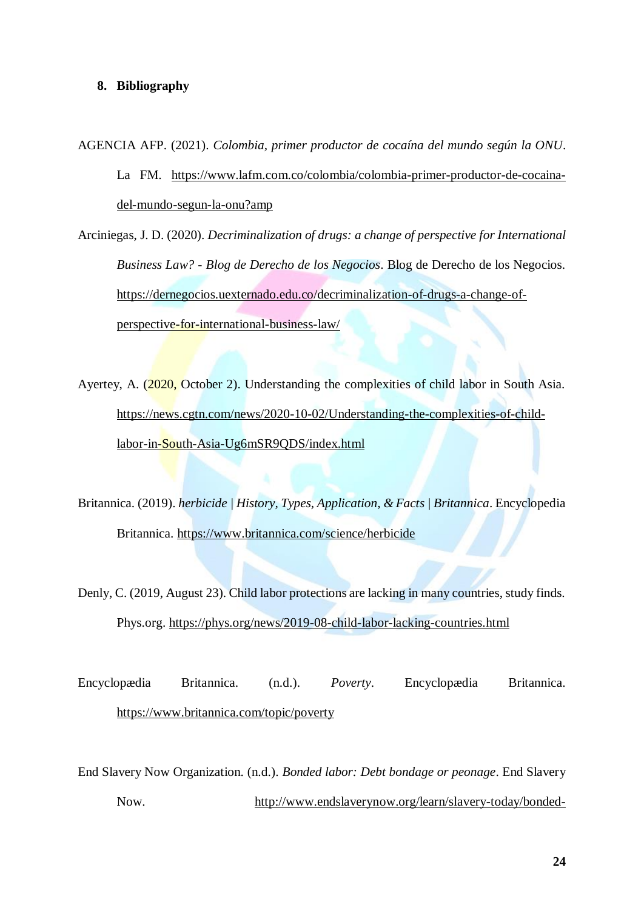#### <span id="page-24-0"></span>**8. Bibliography**

AGENCIA AFP. (2021). *Colombia, primer productor de cocaína del mundo según la ONU*. La FM. [https://www.lafm.com.co/colombia/colombia-primer-productor-de-cocaina](https://www.lafm.com.co/colombia/colombia-primer-productor-de-cocaina-del-mundo-segun-la-onu?amp)[del-mundo-segun-la-onu?amp](https://www.lafm.com.co/colombia/colombia-primer-productor-de-cocaina-del-mundo-segun-la-onu?amp)

Arciniegas, J. D. (2020). *Decriminalization of drugs: a change of perspective for International Business Law? - Blog de Derecho de los Negocios*. Blog de Derecho de los Negocios. https://dernegocios.uexternado.edu.co/decriminalization-of-drugs-a-change-ofperspective-for-international-business-law/

Ayertey, A. (2020, October 2). Understanding the complexities of child labor in South Asia. [https://news.cgtn.com/news/2020-10-02/Understanding-the-complexities-of-child](https://news.cgtn.com/news/2020-10-02/Understanding-the-complexities-of-child-labor-in-South-Asia-Ug6mSR9QDS/index.html)[labor-in-South-Asia-Ug6mSR9QDS/index.html](https://news.cgtn.com/news/2020-10-02/Understanding-the-complexities-of-child-labor-in-South-Asia-Ug6mSR9QDS/index.html)

Britannica. (2019). *herbicide | History, Types, Application, & Facts | Britannica*. Encyclopedia Britannica.<https://www.britannica.com/science/herbicide>

Denly, C. (2019, August 23). Child labor protections are lacking in many countries, study finds. Phys.org.<https://phys.org/news/2019-08-child-labor-lacking-countries.html>

Encyclopædia Britannica. (n.d.). *Poverty*. Encyclopædia Britannica. <https://www.britannica.com/topic/poverty>

End Slavery Now Organization. (n.d.). *Bonded labor: Debt bondage or peonage*. End Slavery Now. [http://www.endslaverynow.org/learn/slavery-today/bonded-](http://www.endslaverynow.org/learn/slavery-today/bonded-labor#:~:text=Bonded%20labor%2C%20also%20known%20as,a%20debt%20from%20a%20relative)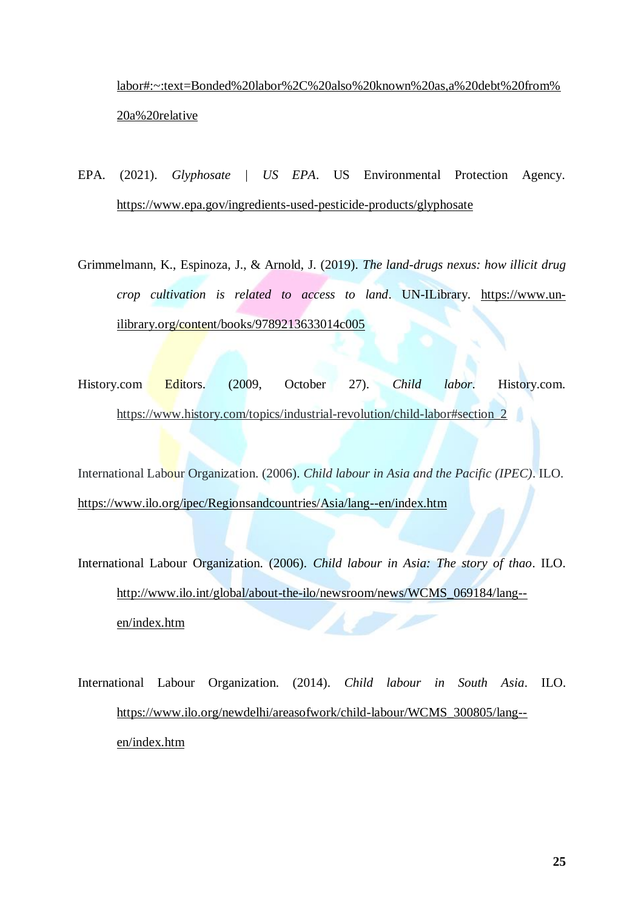[labor#:~:text=Bonded%20labor%2C%20also%20known%20as,a%20debt%20from%](http://www.endslaverynow.org/learn/slavery-today/bonded-labor#:~:text=Bonded%20labor%2C%20also%20known%20as,a%20debt%20from%20a%20relative) [20a%20relative](http://www.endslaverynow.org/learn/slavery-today/bonded-labor#:~:text=Bonded%20labor%2C%20also%20known%20as,a%20debt%20from%20a%20relative)

- EPA. (2021). *Glyphosate | US EPA*. US Environmental Protection Agency. <https://www.epa.gov/ingredients-used-pesticide-products/glyphosate>
- Grimmelmann, K., Espinoza, J., & Arnold, J. (2019). *The land-drugs nexus: how illicit drug crop cultivation is related to access to land*. UN-ILibrary. [https://www.un](https://www.un-ilibrary.org/content/books/9789213633014c005)[ilibrary.org/content/books/9789213633014c005](https://www.un-ilibrary.org/content/books/9789213633014c005)
- History.com Editors. (2009, October 27). *Child labor*. History.com. [https://www.history.com/topics/industrial-revolution/child-labor#section\\_2](https://www.history.com/topics/industrial-revolution/child-labor#section_2)

International Labour Organization. (2006). *Child labour in Asia and the Pacific (IPEC)*. ILO. <https://www.ilo.org/ipec/Regionsandcountries/Asia/lang--en/index.htm>

International Labour Organization. (2006). *Child labour in Asia: The story of thao*. ILO. [http://www.ilo.int/global/about-the-ilo/newsroom/news/WCMS\\_069184/lang-](http://www.ilo.int/global/about-the-ilo/newsroom/news/WCMS_069184/lang--en/index.htm) [en/index.htm](http://www.ilo.int/global/about-the-ilo/newsroom/news/WCMS_069184/lang--en/index.htm)

International Labour Organization. (2014). *Child labour in South Asia*. ILO. [https://www.ilo.org/newdelhi/areasofwork/child-labour/WCMS\\_300805/lang-](https://www.ilo.org/newdelhi/areasofwork/child-labour/WCMS_300805/lang--en/index.htm) [en/index.htm](https://www.ilo.org/newdelhi/areasofwork/child-labour/WCMS_300805/lang--en/index.htm)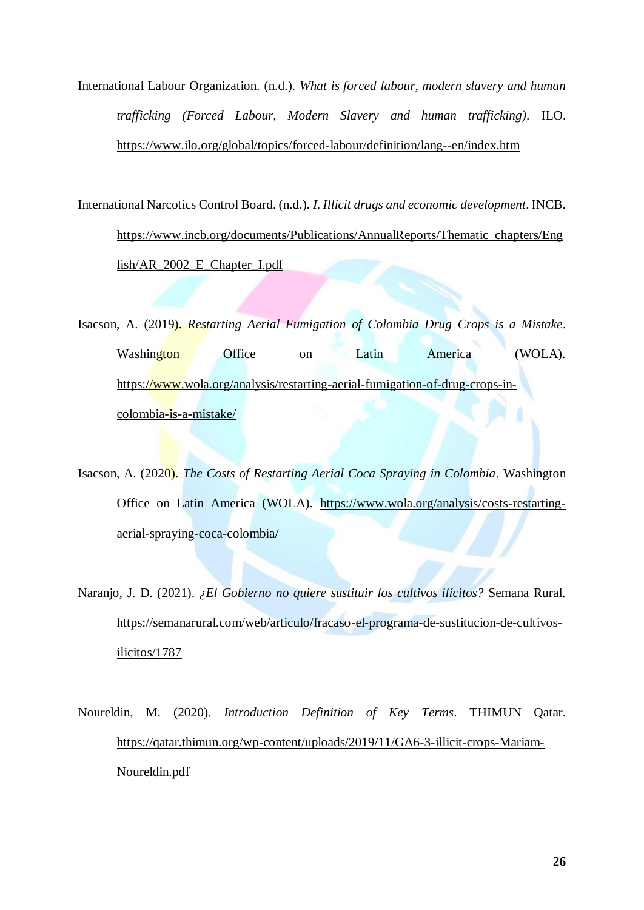International Labour Organization. (n.d.). *What is forced labour, modern slavery and human trafficking (Forced Labour, Modern Slavery and human trafficking)*. ILO. <https://www.ilo.org/global/topics/forced-labour/definition/lang--en/index.htm>

International Narcotics Control Board. (n.d.). *I. Illicit drugs and economic development*. INCB. [https://www.incb.org/documents/Publications/AnnualReports/Thematic\\_chapters/Eng](https://www.incb.org/documents/Publications/AnnualReports/Thematic_chapters/English/AR_2002_E_Chapter_I.pdf) [lish/AR\\_2002\\_E\\_Chapter\\_I.pdf](https://www.incb.org/documents/Publications/AnnualReports/Thematic_chapters/English/AR_2002_E_Chapter_I.pdf)

Isacson, A. (2019). *Restarting Aerial Fumigation of Colombia Drug Crops is a Mistake*. Washington Office on Latin America (WOLA). [https://www.wola.org/analysis/restarting-aerial-fumigation-of-drug-crops-in](https://www.wola.org/analysis/restarting-aerial-fumigation-of-drug-crops-in-colombia-is-a-mistake/)[colombia-is-a-mistake/](https://www.wola.org/analysis/restarting-aerial-fumigation-of-drug-crops-in-colombia-is-a-mistake/)

Isacson, A. (2020). *The Costs of Restarting Aerial Coca Spraying in Colombia*. Washington Office on Latin America (WOLA). [https://www.wola.org/analysis/costs-restarting](https://www.wola.org/analysis/costs-restarting-aerial-spraying-coca-colombia/)[aerial-spraying-coca-colombia/](https://www.wola.org/analysis/costs-restarting-aerial-spraying-coca-colombia/)

Naranjo, J. D. (2021). *¿El Gobierno no quiere sustituir los cultivos ilícitos?* Semana Rural. [https://semanarural.com/web/articulo/fracaso-el-programa-de-sustitucion-de-cultivos](https://semanarural.com/web/articulo/fracaso-el-programa-de-sustitucion-de-cultivos-ilicitos/1787)[ilicitos/1787](https://semanarural.com/web/articulo/fracaso-el-programa-de-sustitucion-de-cultivos-ilicitos/1787)

Noureldin, M. (2020). *Introduction Definition of Key Terms*. THIMUN Qatar. [https://qatar.thimun.org/wp-content/uploads/2019/11/GA6-3-illicit-crops-Mariam-](https://qatar.thimun.org/wp-content/uploads/2019/11/GA6-3-illicit-crops-Mariam-Noureldin.pdf)[Noureldin.pdf](https://qatar.thimun.org/wp-content/uploads/2019/11/GA6-3-illicit-crops-Mariam-Noureldin.pdf)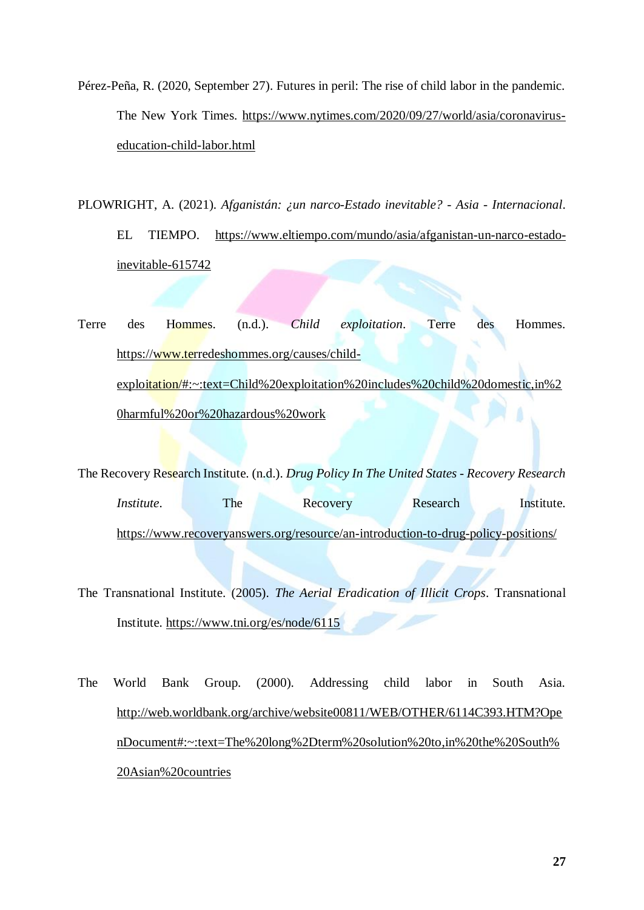Pérez-Peña, R. (2020, September 27). Futures in peril: The rise of child labor in the pandemic. The New York Times. [https://www.nytimes.com/2020/09/27/world/asia/coronavirus](https://www.nytimes.com/2020/09/27/world/asia/coronavirus-education-child-labor.html)[education-child-labor.html](https://www.nytimes.com/2020/09/27/world/asia/coronavirus-education-child-labor.html)

PLOWRIGHT, A. (2021). *Afganistán: ¿un narco-Estado inevitable? - Asia - Internacional*. EL TIEMPO. [https://www.eltiempo.com/mundo/asia/afganistan-un-narco-estado](https://www.eltiempo.com/mundo/asia/afganistan-un-narco-estado-inevitable-615742)[inevitable-615742](https://www.eltiempo.com/mundo/asia/afganistan-un-narco-estado-inevitable-615742)

Terre des Hommes. (n.d.). *Child exploitation*. Terre des Hommes. [https://www.terredeshommes.org/causes/child](https://www.terredeshommes.org/causes/child-exploitation/#:~:text=Child%20exploitation%20includes%20child%20domestic,in%20harmful%20or%20hazardous%20work)[exploitation/#:~:text=Child%20exploitation%20includes%20child%20domestic,in%2](https://www.terredeshommes.org/causes/child-exploitation/#:~:text=Child%20exploitation%20includes%20child%20domestic,in%20harmful%20or%20hazardous%20work) [0harmful%20or%20hazardous%20work](https://www.terredeshommes.org/causes/child-exploitation/#:~:text=Child%20exploitation%20includes%20child%20domestic,in%20harmful%20or%20hazardous%20work)

The Recovery Research Institute. (n.d.). *Drug Policy In The United States - Recovery Research Institute*. The Recovery Research Institute. <https://www.recoveryanswers.org/resource/an-introduction-to-drug-policy-positions/>

The Transnational Institute. (2005). *The Aerial Eradication of Illicit Crops*. Transnational Institute.<https://www.tni.org/es/node/6115>

The World Bank Group. (2000). Addressing child labor in South Asia. [http://web.worldbank.org/archive/website00811/WEB/OTHER/6114C393.HTM?Ope](http://web.worldbank.org/archive/website00811/WEB/OTHER/6114C393.HTM?OpenDocument#:~:text=The%20long%2Dterm%20solution%20to,in%20the%20South%20Asian%20countries) [nDocument#:~:text=The%20long%2Dterm%20solution%20to,in%20the%20South%](http://web.worldbank.org/archive/website00811/WEB/OTHER/6114C393.HTM?OpenDocument#:~:text=The%20long%2Dterm%20solution%20to,in%20the%20South%20Asian%20countries) [20Asian%20countries](http://web.worldbank.org/archive/website00811/WEB/OTHER/6114C393.HTM?OpenDocument#:~:text=The%20long%2Dterm%20solution%20to,in%20the%20South%20Asian%20countries)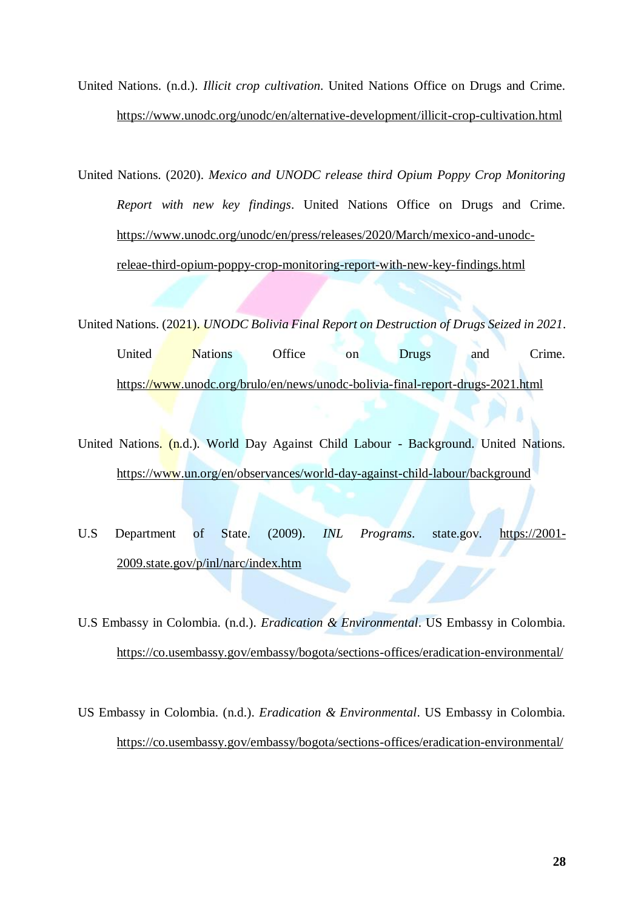United Nations. (n.d.). *Illicit crop cultivation*. United Nations Office on Drugs and Crime. <https://www.unodc.org/unodc/en/alternative-development/illicit-crop-cultivation.html>

United Nations. (2020). *Mexico and UNODC release third Opium Poppy Crop Monitoring Report with new key findings*. United Nations Office on Drugs and Crime. [https://www.unodc.org/unodc/en/press/releases/2020/March/mexico-and-unodc](https://www.unodc.org/unodc/en/press/releases/2020/March/mexico-and-unodc-releae-third-opium-poppy-crop-monitoring-report-with-new-key-findings.html)[releae-third-opium-poppy-crop-monitoring-report-with-new-key-findings.html](https://www.unodc.org/unodc/en/press/releases/2020/March/mexico-and-unodc-releae-third-opium-poppy-crop-monitoring-report-with-new-key-findings.html)

United Nations. (2021). *UNODC Bolivia Final Report on Destruction of Drugs Seized in 2021*.

United Nations Office on Drugs and Crime. <https://www.unodc.org/brulo/en/news/unodc-bolivia-final-report-drugs-2021.html>

United Nations. (n.d.). World Day Against Child Labour - Background. United Nations. <https://www.un.org/en/observances/world-day-against-child-labour/background>

U.S Department of State. (2009). *INL Programs*. state.gov. [https://2001-](https://2001-2009.state.gov/p/inl/narc/index.htm) [2009.state.gov/p/inl/narc/index.htm](https://2001-2009.state.gov/p/inl/narc/index.htm)

U.S Embassy in Colombia. (n.d.). *Eradication & Environmental*. US Embassy in Colombia. <https://co.usembassy.gov/embassy/bogota/sections-offices/eradication-environmental/>

US Embassy in Colombia. (n.d.). *Eradication & Environmental*. US Embassy in Colombia. <https://co.usembassy.gov/embassy/bogota/sections-offices/eradication-environmental/>